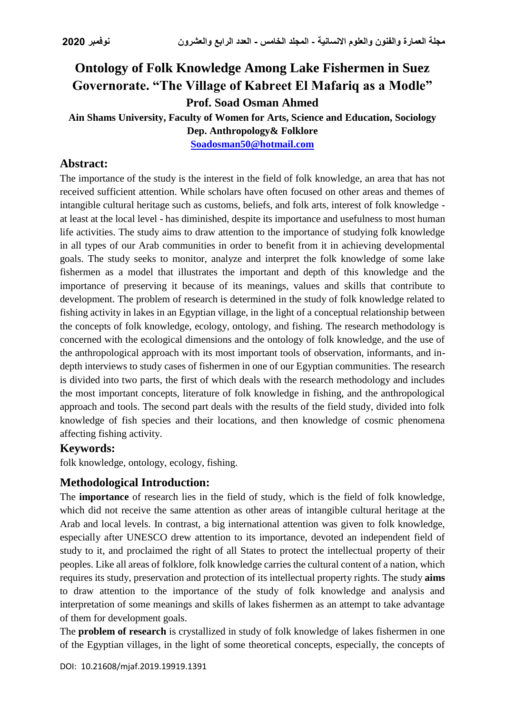# **Ontology of Folk Knowledge Among Lake Fishermen in Suez Governorate. "The Village of Kabreet El Mafariq as a Modle" Prof. Soad Osman Ahmed**

**Ain Shams University, Faculty of Women for Arts, Science and Education, Sociology**

**Dep. Anthropology& Folklore**

**[Soadosman50@hotmail.com](mailto:Soadosman50@hotmail.com)**

## **Abstract:**

The importance of the study is the interest in the field of folk knowledge, an area that has not received sufficient attention. While scholars have often focused on other areas and themes of intangible cultural heritage such as customs, beliefs, and folk arts, interest of folk knowledge at least at the local level - has diminished, despite its importance and usefulness to most human life activities. The study aims to draw attention to the importance of studying folk knowledge in all types of our Arab communities in order to benefit from it in achieving developmental goals. The study seeks to monitor, analyze and interpret the folk knowledge of some lake fishermen as a model that illustrates the important and depth of this knowledge and the importance of preserving it because of its meanings, values and skills that contribute to development. The problem of research is determined in the study of folk knowledge related to fishing activity in lakes in an Egyptian village, in the light of a conceptual relationship between the concepts of folk knowledge, ecology, ontology, and fishing. The research methodology is concerned with the ecological dimensions and the ontology of folk knowledge, and the use of the anthropological approach with its most important tools of observation, informants, and indepth interviews to study cases of fishermen in one of our Egyptian communities. The research is divided into two parts, the first of which deals with the research methodology and includes the most important concepts, literature of folk knowledge in fishing, and the anthropological approach and tools. The second part deals with the results of the field study, divided into folk knowledge of fish species and their locations, and then knowledge of cosmic phenomena affecting fishing activity.

## **Keywords:**

folk knowledge, ontology, ecology, fishing.

## **Methodological Introduction:**

The **importance** of research lies in the field of study, which is the field of folk knowledge, which did not receive the same attention as other areas of intangible cultural heritage at the Arab and local levels. In contrast, a big international attention was given to folk knowledge, especially after UNESCO drew attention to its importance, devoted an independent field of study to it, and proclaimed the right of all States to protect the intellectual property of their peoples. Like all areas of folklore, folk knowledge carries the cultural content of a nation, which requires its study, preservation and protection of its intellectual property rights. The study **aims** to draw attention to the importance of the study of folk knowledge and analysis and interpretation of some meanings and skills of lakes fishermen as an attempt to take advantage of them for development goals.

The **problem of research** is crystallized in study of folk knowledge of lakes fishermen in one of the Egyptian villages, in the light of some theoretical concepts, especially, the concepts of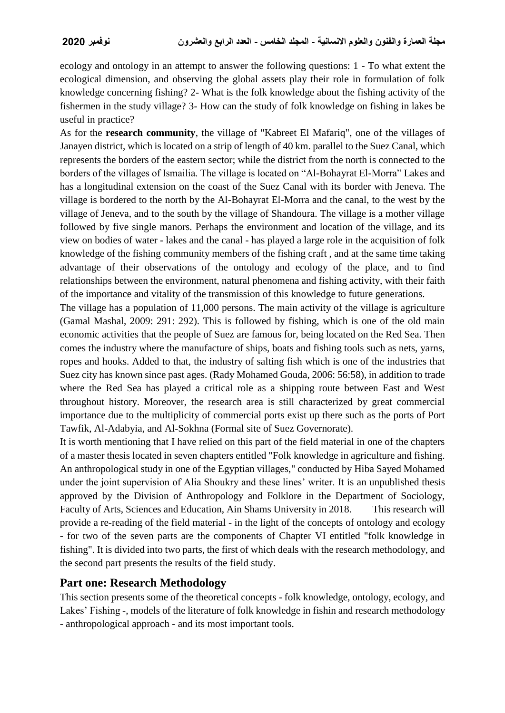ecology and ontology in an attempt to answer the following questions: 1 - To what extent the ecological dimension, and observing the global assets play their role in formulation of folk knowledge concerning fishing? 2- What is the folk knowledge about the fishing activity of the fishermen in the study village? 3- How can the study of folk knowledge on fishing in lakes be useful in practice?

As for the **research community**, the village of "Kabreet El Mafariq", one of the villages of Janayen district, which is located on a strip of length of 40 km. parallel to the Suez Canal, which represents the borders of the eastern sector; while the district from the north is connected to the borders of the villages of Ismailia. The village is located on "Al-Bohayrat El-Morra" Lakes and has a longitudinal extension on the coast of the Suez Canal with its border with Jeneva. The village is bordered to the north by the Al-Bohayrat El-Morra and the canal, to the west by the village of Jeneva, and to the south by the village of Shandoura. The village is a mother village followed by five single manors. Perhaps the environment and location of the village, and its view on bodies of water - lakes and the canal - has played a large role in the acquisition of folk knowledge of the fishing community members of the fishing craft , and at the same time taking advantage of their observations of the ontology and ecology of the place, and to find relationships between the environment, natural phenomena and fishing activity, with their faith of the importance and vitality of the transmission of this knowledge to future generations.

The village has a population of 11,000 persons. The main activity of the village is agriculture (Gamal Mashal, 2009: 291: 292). This is followed by fishing, which is one of the old main economic activities that the people of Suez are famous for, being located on the Red Sea. Then comes the industry where the manufacture of ships, boats and fishing tools such as nets, yarns, ropes and hooks. Added to that, the industry of salting fish which is one of the industries that Suez city has known since past ages. (Rady Mohamed Gouda, 2006: 56:58), in addition to trade where the Red Sea has played a critical role as a shipping route between East and West throughout history. Moreover, the research area is still characterized by great commercial importance due to the multiplicity of commercial ports exist up there such as the ports of Port Tawfik, Al-Adabyia, and Al-Sokhna (Formal site of Suez Governorate).

It is worth mentioning that I have relied on this part of the field material in one of the chapters of a master thesis located in seven chapters entitled "Folk knowledge in agriculture and fishing. An anthropological study in one of the Egyptian villages," conducted by Hiba Sayed Mohamed under the joint supervision of Alia Shoukry and these lines' writer. It is an unpublished thesis approved by the Division of Anthropology and Folklore in the Department of Sociology, Faculty of Arts, Sciences and Education, Ain Shams University in 2018. This research will provide a re-reading of the field material - in the light of the concepts of ontology and ecology - for two of the seven parts are the components of Chapter VI entitled "folk knowledge in fishing". It is divided into two parts, the first of which deals with the research methodology, and the second part presents the results of the field study.

## **Part one: Research Methodology**

This section presents some of the theoretical concepts - folk knowledge, ontology, ecology, and Lakes' Fishing -, models of the literature of folk knowledge in fishin and research methodology - anthropological approach - and its most important tools.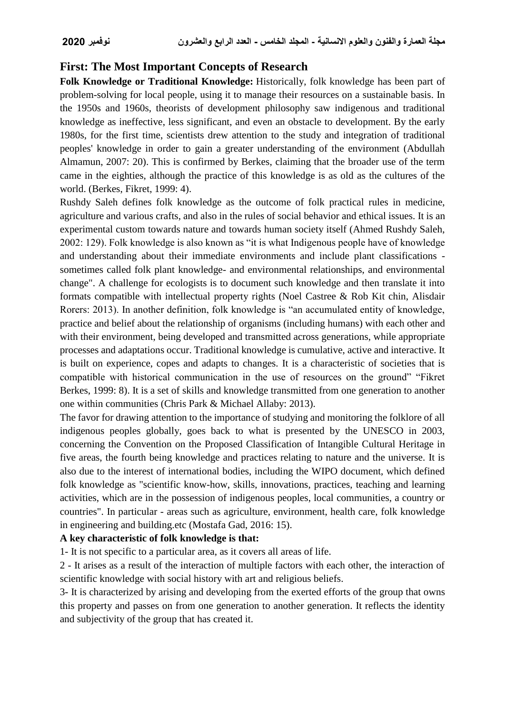### **First: The Most Important Concepts of Research**

**Folk Knowledge or Traditional Knowledge:** Historically, folk knowledge has been part of problem-solving for local people, using it to manage their resources on a sustainable basis. In the 1950s and 1960s, theorists of development philosophy saw indigenous and traditional knowledge as ineffective, less significant, and even an obstacle to development. By the early 1980s, for the first time, scientists drew attention to the study and integration of traditional peoples' knowledge in order to gain a greater understanding of the environment (Abdullah Almamun, 2007: 20). This is confirmed by Berkes, claiming that the broader use of the term came in the eighties, although the practice of this knowledge is as old as the cultures of the world. (Berkes, Fikret, 1999: 4).

Rushdy Saleh defines folk knowledge as the outcome of folk practical rules in medicine, agriculture and various crafts, and also in the rules of social behavior and ethical issues. It is an experimental custom towards nature and towards human society itself (Ahmed Rushdy Saleh, 2002: 129). Folk knowledge is also known as "it is what Indigenous people have of knowledge and understanding about their immediate environments and include plant classifications sometimes called folk plant knowledge- and environmental relationships, and environmental change". A challenge for ecologists is to document such knowledge and then translate it into formats compatible with intellectual property rights (Noel Castree & Rob Kit chin, Alisdair Rorers: 2013). In another definition, folk knowledge is "an accumulated entity of knowledge, practice and belief about the relationship of organisms (including humans) with each other and with their environment, being developed and transmitted across generations, while appropriate processes and adaptations occur. Traditional knowledge is cumulative, active and interactive. It is built on experience, copes and adapts to changes. It is a characteristic of societies that is compatible with historical communication in the use of resources on the ground" "Fikret Berkes, 1999: 8). It is a set of skills and knowledge transmitted from one generation to another one within communities (Chris Park & Michael Allaby: 2013).

The favor for drawing attention to the importance of studying and monitoring the folklore of all indigenous peoples globally, goes back to what is presented by the UNESCO in 2003, concerning the Convention on the Proposed Classification of Intangible Cultural Heritage in five areas, the fourth being knowledge and practices relating to nature and the universe. It is also due to the interest of international bodies, including the WIPO document, which defined folk knowledge as "scientific know-how, skills, innovations, practices, teaching and learning activities, which are in the possession of indigenous peoples, local communities, a country or countries". In particular - areas such as agriculture, environment, health care, folk knowledge in engineering and building.etc (Mostafa Gad, 2016: 15).

#### **A key characteristic of folk knowledge is that:**

1- It is not specific to a particular area, as it covers all areas of life.

2 - It arises as a result of the interaction of multiple factors with each other, the interaction of scientific knowledge with social history with art and religious beliefs.

3- It is characterized by arising and developing from the exerted efforts of the group that owns this property and passes on from one generation to another generation. It reflects the identity and subjectivity of the group that has created it.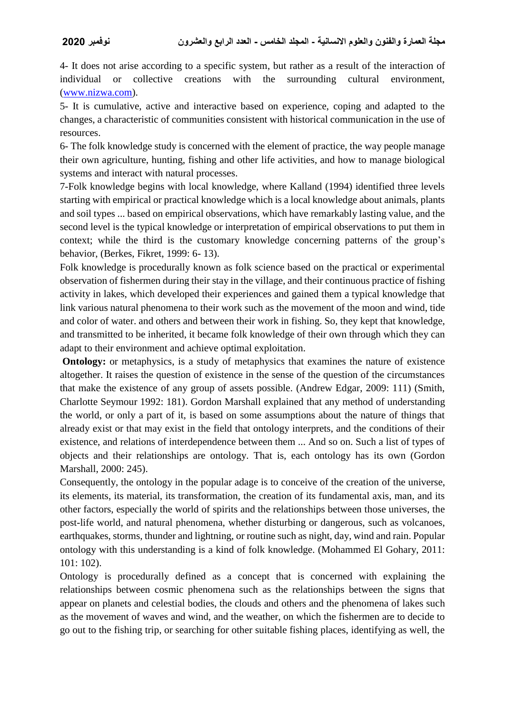4- It does not arise according to a specific system, but rather as a result of the interaction of individual or collective creations with the surrounding cultural environment, [\(www.nizwa.com\)](http://www.nizwa.com/).

5- It is cumulative, active and interactive based on experience, coping and adapted to the changes, a characteristic of communities consistent with historical communication in the use of resources.

6- The folk knowledge study is concerned with the element of practice, the way people manage their own agriculture, hunting, fishing and other life activities, and how to manage biological systems and interact with natural processes.

7-Folk knowledge begins with local knowledge, where Kalland (1994) identified three levels starting with empirical or practical knowledge which is a local knowledge about animals, plants and soil types ... based on empirical observations, which have remarkably lasting value, and the second level is the typical knowledge or interpretation of empirical observations to put them in context; while the third is the customary knowledge concerning patterns of the group's behavior, (Berkes, Fikret, 1999: 6- 13).

Folk knowledge is procedurally known as folk science based on the practical or experimental observation of fishermen during their stay in the village, and their continuous practice of fishing activity in lakes, which developed their experiences and gained them a typical knowledge that link various natural phenomena to their work such as the movement of the moon and wind, tide and color of water. and others and between their work in fishing. So, they kept that knowledge, and transmitted to be inherited, it became folk knowledge of their own through which they can adapt to their environment and achieve optimal exploitation.

**Ontology:** or metaphysics, is a study of metaphysics that examines the nature of existence altogether. It raises the question of existence in the sense of the question of the circumstances that make the existence of any group of assets possible. (Andrew Edgar, 2009: 111) (Smith, Charlotte Seymour 1992: 181). Gordon Marshall explained that any method of understanding the world, or only a part of it, is based on some assumptions about the nature of things that already exist or that may exist in the field that ontology interprets, and the conditions of their existence, and relations of interdependence between them ... And so on. Such a list of types of objects and their relationships are ontology. That is, each ontology has its own (Gordon Marshall, 2000: 245).

Consequently, the ontology in the popular adage is to conceive of the creation of the universe, its elements, its material, its transformation, the creation of its fundamental axis, man, and its other factors, especially the world of spirits and the relationships between those universes, the post-life world, and natural phenomena, whether disturbing or dangerous, such as volcanoes, earthquakes, storms, thunder and lightning, or routine such as night, day, wind and rain. Popular ontology with this understanding is a kind of folk knowledge. (Mohammed El Gohary, 2011: 101: 102).

Ontology is procedurally defined as a concept that is concerned with explaining the relationships between cosmic phenomena such as the relationships between the signs that appear on planets and celestial bodies, the clouds and others and the phenomena of lakes such as the movement of waves and wind, and the weather, on which the fishermen are to decide to go out to the fishing trip, or searching for other suitable fishing places, identifying as well, the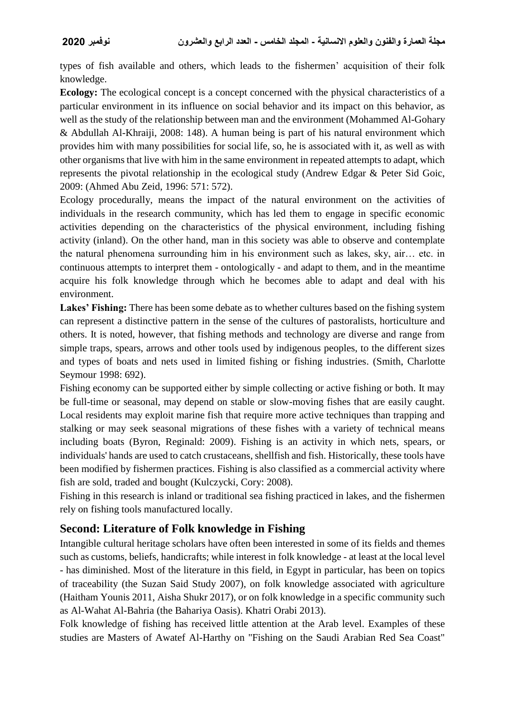types of fish available and others, which leads to the fishermen' acquisition of their folk knowledge.

**Ecology:** The ecological concept is a concept concerned with the physical characteristics of a particular environment in its influence on social behavior and its impact on this behavior, as well as the study of the relationship between man and the environment (Mohammed Al-Gohary & Abdullah Al-Khraiji, 2008: 148). A human being is part of his natural environment which provides him with many possibilities for social life, so, he is associated with it, as well as with other organisms that live with him in the same environment in repeated attempts to adapt, which represents the pivotal relationship in the ecological study (Andrew Edgar & Peter Sid Goic, 2009: (Ahmed Abu Zeid, 1996: 571: 572).

Ecology procedurally, means the impact of the natural environment on the activities of individuals in the research community, which has led them to engage in specific economic activities depending on the characteristics of the physical environment, including fishing activity (inland). On the other hand, man in this society was able to observe and contemplate the natural phenomena surrounding him in his environment such as lakes, sky, air… etc. in continuous attempts to interpret them - ontologically - and adapt to them, and in the meantime acquire his folk knowledge through which he becomes able to adapt and deal with his environment.

Lakes' Fishing: There has been some debate as to whether cultures based on the fishing system can represent a distinctive pattern in the sense of the cultures of pastoralists, horticulture and others. It is noted, however, that fishing methods and technology are diverse and range from simple traps, spears, arrows and other tools used by indigenous peoples, to the different sizes and types of boats and nets used in limited fishing or fishing industries. (Smith, Charlotte Seymour 1998: 692).

Fishing economy can be supported either by simple collecting or active fishing or both. It may be full-time or seasonal, may depend on stable or slow-moving fishes that are easily caught. Local residents may exploit marine fish that require more active techniques than trapping and stalking or may seek seasonal migrations of these fishes with a variety of technical means including boats (Byron, Reginald: 2009). Fishing is an activity in which nets, spears, or individuals' hands are used to catch crustaceans, shellfish and fish. Historically, these tools have been modified by fishermen practices. Fishing is also classified as a commercial activity where fish are sold, traded and bought (Kulczycki, Cory: 2008).

Fishing in this research is inland or traditional sea fishing practiced in lakes, and the fishermen rely on fishing tools manufactured locally.

## **Second: Literature of Folk knowledge in Fishing**

Intangible cultural heritage scholars have often been interested in some of its fields and themes such as customs, beliefs, handicrafts; while interest in folk knowledge - at least at the local level - has diminished. Most of the literature in this field, in Egypt in particular, has been on topics of traceability (the Suzan Said Study 2007), on folk knowledge associated with agriculture (Haitham Younis 2011, Aisha Shukr 2017), or on folk knowledge in a specific community such as Al-Wahat Al-Bahria (the Bahariya Oasis). Khatri Orabi 2013).

Folk knowledge of fishing has received little attention at the Arab level. Examples of these studies are Masters of Awatef Al-Harthy on "Fishing on the Saudi Arabian Red Sea Coast"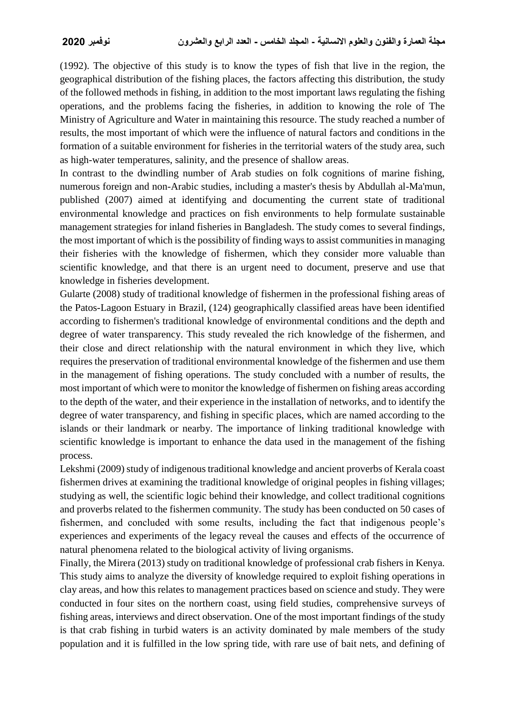(1992). The objective of this study is to know the types of fish that live in the region, the geographical distribution of the fishing places, the factors affecting this distribution, the study of the followed methods in fishing, in addition to the most important laws regulating the fishing operations, and the problems facing the fisheries, in addition to knowing the role of The Ministry of Agriculture and Water in maintaining this resource. The study reached a number of results, the most important of which were the influence of natural factors and conditions in the formation of a suitable environment for fisheries in the territorial waters of the study area, such as high-water temperatures, salinity, and the presence of shallow areas.

In contrast to the dwindling number of Arab studies on folk cognitions of marine fishing, numerous foreign and non-Arabic studies, including a master's thesis by Abdullah al-Ma'mun, published (2007) aimed at identifying and documenting the current state of traditional environmental knowledge and practices on fish environments to help formulate sustainable management strategies for inland fisheries in Bangladesh. The study comes to several findings, the most important of which is the possibility of finding ways to assist communities in managing their fisheries with the knowledge of fishermen, which they consider more valuable than scientific knowledge, and that there is an urgent need to document, preserve and use that knowledge in fisheries development.

Gularte (2008) study of traditional knowledge of fishermen in the professional fishing areas of the Patos-Lagoon Estuary in Brazil, (124) geographically classified areas have been identified according to fishermen's traditional knowledge of environmental conditions and the depth and degree of water transparency. This study revealed the rich knowledge of the fishermen, and their close and direct relationship with the natural environment in which they live, which requires the preservation of traditional environmental knowledge of the fishermen and use them in the management of fishing operations. The study concluded with a number of results, the most important of which were to monitor the knowledge of fishermen on fishing areas according to the depth of the water, and their experience in the installation of networks, and to identify the degree of water transparency, and fishing in specific places, which are named according to the islands or their landmark or nearby. The importance of linking traditional knowledge with scientific knowledge is important to enhance the data used in the management of the fishing process.

Lekshmi (2009) study of indigenous traditional knowledge and ancient proverbs of Kerala coast fishermen drives at examining the traditional knowledge of original peoples in fishing villages; studying as well, the scientific logic behind their knowledge, and collect traditional cognitions and proverbs related to the fishermen community. The study has been conducted on 50 cases of fishermen, and concluded with some results, including the fact that indigenous people's experiences and experiments of the legacy reveal the causes and effects of the occurrence of natural phenomena related to the biological activity of living organisms.

Finally, the Mirera (2013) study on traditional knowledge of professional crab fishers in Kenya. This study aims to analyze the diversity of knowledge required to exploit fishing operations in clay areas, and how this relates to management practices based on science and study. They were conducted in four sites on the northern coast, using field studies, comprehensive surveys of fishing areas, interviews and direct observation. One of the most important findings of the study is that crab fishing in turbid waters is an activity dominated by male members of the study population and it is fulfilled in the low spring tide, with rare use of bait nets, and defining of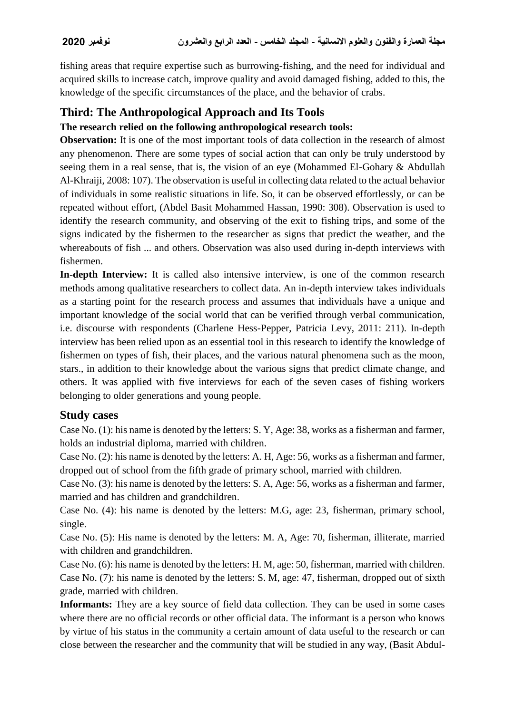fishing areas that require expertise such as burrowing-fishing, and the need for individual and acquired skills to increase catch, improve quality and avoid damaged fishing, added to this, the knowledge of the specific circumstances of the place, and the behavior of crabs.

## **Third: The Anthropological Approach and Its Tools**

#### **The research relied on the following anthropological research tools:**

**Observation:** It is one of the most important tools of data collection in the research of almost any phenomenon. There are some types of social action that can only be truly understood by seeing them in a real sense, that is, the vision of an eye (Mohammed El-Gohary & Abdullah Al-Khraiji, 2008: 107). The observation is useful in collecting data related to the actual behavior of individuals in some realistic situations in life. So, it can be observed effortlessly, or can be repeated without effort, (Abdel Basit Mohammed Hassan, 1990: 308). Observation is used to identify the research community, and observing of the exit to fishing trips, and some of the signs indicated by the fishermen to the researcher as signs that predict the weather, and the whereabouts of fish ... and others. Observation was also used during in-depth interviews with fishermen.

**In-depth Interview:** It is called also intensive interview, is one of the common research methods among qualitative researchers to collect data. An in-depth interview takes individuals as a starting point for the research process and assumes that individuals have a unique and important knowledge of the social world that can be verified through verbal communication, i.e. discourse with respondents (Charlene Hess-Pepper, Patricia Levy, 2011: 211). In-depth interview has been relied upon as an essential tool in this research to identify the knowledge of fishermen on types of fish, their places, and the various natural phenomena such as the moon, stars., in addition to their knowledge about the various signs that predict climate change, and others. It was applied with five interviews for each of the seven cases of fishing workers belonging to older generations and young people.

### **Study cases**

Case No. (1): his name is denoted by the letters: S. Y, Age: 38, works as a fisherman and farmer, holds an industrial diploma, married with children.

Case No. (2): his name is denoted by the letters: A. H, Age: 56, works as a fisherman and farmer, dropped out of school from the fifth grade of primary school, married with children.

Case No. (3): his name is denoted by the letters: S. A, Age: 56, works as a fisherman and farmer, married and has children and grandchildren.

Case No. (4): his name is denoted by the letters: M.G, age: 23, fisherman, primary school, single.

Case No. (5): His name is denoted by the letters: M. A, Age: 70, fisherman, illiterate, married with children and grandchildren.

Case No. (6): his name is denoted by the letters: H. M, age: 50, fisherman, married with children. Case No. (7): his name is denoted by the letters: S. M, age: 47, fisherman, dropped out of sixth grade, married with children.

Informants: They are a key source of field data collection. They can be used in some cases where there are no official records or other official data. The informant is a person who knows by virtue of his status in the community a certain amount of data useful to the research or can close between the researcher and the community that will be studied in any way, (Basit Abdul-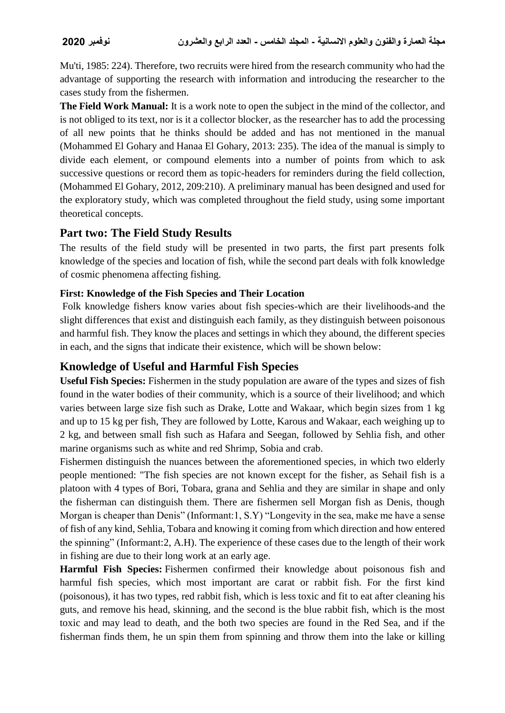Mu'ti, 1985: 224). Therefore, two recruits were hired from the research community who had the advantage of supporting the research with information and introducing the researcher to the cases study from the fishermen.

**The Field Work Manual:** It is a work note to open the subject in the mind of the collector, and is not obliged to its text, nor is it a collector blocker, as the researcher has to add the processing of all new points that he thinks should be added and has not mentioned in the manual (Mohammed El Gohary and Hanaa El Gohary, 2013: 235). The idea of the manual is simply to divide each element, or compound elements into a number of points from which to ask successive questions or record them as topic-headers for reminders during the field collection, (Mohammed El Gohary, 2012, 209:210). A preliminary manual has been designed and used for the exploratory study, which was completed throughout the field study, using some important theoretical concepts.

### **Part two: The Field Study Results**

The results of the field study will be presented in two parts, the first part presents folk knowledge of the species and location of fish, while the second part deals with folk knowledge of cosmic phenomena affecting fishing.

#### **First: Knowledge of the Fish Species and Their Location**

Folk knowledge fishers know varies about fish species-which are their livelihoods-and the slight differences that exist and distinguish each family, as they distinguish between poisonous and harmful fish. They know the places and settings in which they abound, the different species in each, and the signs that indicate their existence, which will be shown below:

## **Knowledge of Useful and Harmful Fish Species**

**Useful Fish Species:** Fishermen in the study population are aware of the types and sizes of fish found in the water bodies of their community, which is a source of their livelihood; and which varies between large size fish such as Drake, Lotte and Wakaar, which begin sizes from 1 kg and up to 15 kg per fish, They are followed by Lotte, Karous and Wakaar, each weighing up to 2 kg, and between small fish such as Hafara and Seegan, followed by Sehlia fish, and other marine organisms such as white and red Shrimp, Sobia and crab.

Fishermen distinguish the nuances between the aforementioned species, in which two elderly people mentioned: "The fish species are not known except for the fisher, as Sehail fish is a platoon with 4 types of Bori, Tobara, grana and Sehlia and they are similar in shape and only the fisherman can distinguish them. There are fishermen sell Morgan fish as Denis, though Morgan is cheaper than Denis" (Informant:1, S.Y) "Longevity in the sea, make me have a sense of fish of any kind, Sehlia, Tobara and knowing it coming from which direction and how entered the spinning" (Informant:2, A.H). The experience of these cases due to the length of their work in fishing are due to their long work at an early age.

**Harmful Fish Species:** Fishermen confirmed their knowledge about poisonous fish and harmful fish species, which most important are carat or rabbit fish. For the first kind (poisonous), it has two types, red rabbit fish, which is less toxic and fit to eat after cleaning his guts, and remove his head, skinning, and the second is the blue rabbit fish, which is the most toxic and may lead to death, and the both two species are found in the Red Sea, and if the fisherman finds them, he un spin them from spinning and throw them into the lake or killing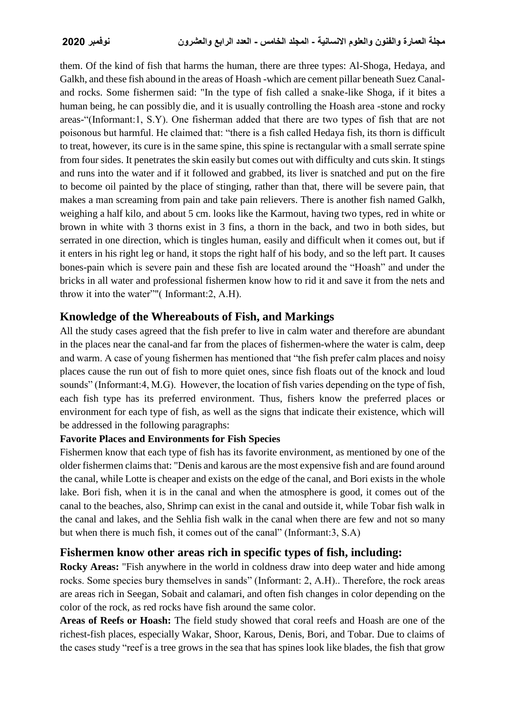them. Of the kind of fish that harms the human, there are three types: Al-Shoga, Hedaya, and Galkh, and these fish abound in the areas of Hoash -which are cement pillar beneath Suez Canaland rocks. Some fishermen said: "In the type of fish called a snake-like Shoga, if it bites a human being, he can possibly die, and it is usually controlling the Hoash area -stone and rocky areas-"(Informant:1, S.Y). One fisherman added that there are two types of fish that are not poisonous but harmful. He claimed that: "there is a fish called Hedaya fish, its thorn is difficult to treat, however, its cure is in the same spine, this spine is rectangular with a small serrate spine from four sides. It penetrates the skin easily but comes out with difficulty and cuts skin. It stings and runs into the water and if it followed and grabbed, its liver is snatched and put on the fire to become oil painted by the place of stinging, rather than that, there will be severe pain, that makes a man screaming from pain and take pain relievers. There is another fish named Galkh, weighing a half kilo, and about 5 cm. looks like the Karmout, having two types, red in white or brown in white with 3 thorns exist in 3 fins, a thorn in the back, and two in both sides, but serrated in one direction, which is tingles human, easily and difficult when it comes out, but if it enters in his right leg or hand, it stops the right half of his body, and so the left part. It causes bones-pain which is severe pain and these fish are located around the "Hoash" and under the bricks in all water and professional fishermen know how to rid it and save it from the nets and throw it into the water""( Informant:2, A.H).

### **Knowledge of the Whereabouts of Fish, and Markings**

All the study cases agreed that the fish prefer to live in calm water and therefore are abundant in the places near the canal-and far from the places of fishermen-where the water is calm, deep and warm. A case of young fishermen has mentioned that "the fish prefer calm places and noisy places cause the run out of fish to more quiet ones, since fish floats out of the knock and loud sounds" (Informant:4, M.G). However, the location of fish varies depending on the type of fish, each fish type has its preferred environment. Thus, fishers know the preferred places or environment for each type of fish, as well as the signs that indicate their existence, which will be addressed in the following paragraphs:

#### **Favorite Places and Environments for Fish Species**

Fishermen know that each type of fish has its favorite environment, as mentioned by one of the older fishermen claims that: "Denis and karous are the most expensive fish and are found around the canal, while Lotte is cheaper and exists on the edge of the canal, and Bori exists in the whole lake. Bori fish, when it is in the canal and when the atmosphere is good, it comes out of the canal to the beaches, also, Shrimp can exist in the canal and outside it, while Tobar fish walk in the canal and lakes, and the Sehlia fish walk in the canal when there are few and not so many but when there is much fish, it comes out of the canal" (Informant:3, S.A)

## **Fishermen know other areas rich in specific types of fish, including:**

**Rocky Areas:** "Fish anywhere in the world in coldness draw into deep water and hide among rocks. Some species bury themselves in sands" (Informant: 2, A.H).. Therefore, the rock areas are areas rich in Seegan, Sobait and calamari, and often fish changes in color depending on the color of the rock, as red rocks have fish around the same color.

**Areas of Reefs or Hoash:** The field study showed that coral reefs and Hoash are one of the richest-fish places, especially Wakar, Shoor, Karous, Denis, Bori, and Tobar. Due to claims of the cases study "reef is a tree grows in the sea that has spines look like blades, the fish that grow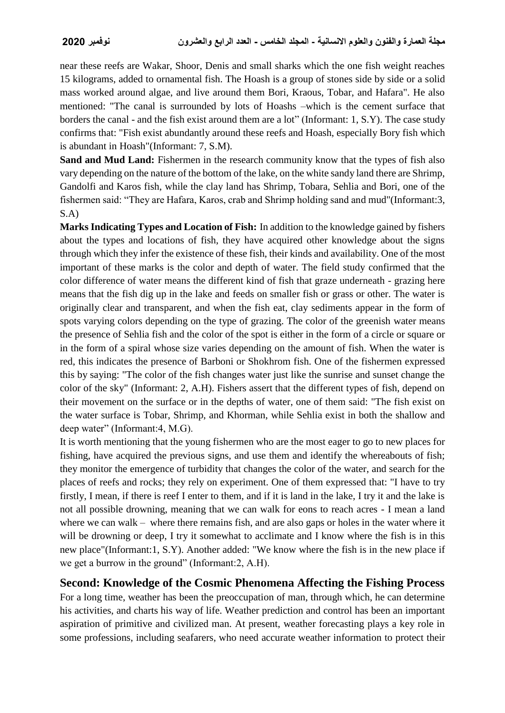near these reefs are Wakar, Shoor, Denis and small sharks which the one fish weight reaches 15 kilograms, added to ornamental fish. The Hoash is a group of stones side by side or a solid mass worked around algae, and live around them Bori, Kraous, Tobar, and Hafara". He also mentioned: "The canal is surrounded by lots of Hoashs –which is the cement surface that borders the canal - and the fish exist around them are a lot" (Informant: 1, S.Y). The case study confirms that: "Fish exist abundantly around these reefs and Hoash, especially Bory fish which is abundant in Hoash"(Informant: 7, S.M).

Sand and Mud Land: Fishermen in the research community know that the types of fish also vary depending on the nature of the bottom of the lake, on the white sandy land there are Shrimp, Gandolfi and Karos fish, while the clay land has Shrimp, Tobara, Sehlia and Bori, one of the fishermen said: "They are Hafara, Karos, crab and Shrimp holding sand and mud"(Informant:3, S.A)

**Marks Indicating Types and Location of Fish:** In addition to the knowledge gained by fishers about the types and locations of fish, they have acquired other knowledge about the signs through which they infer the existence of these fish, their kinds and availability. One of the most important of these marks is the color and depth of water. The field study confirmed that the color difference of water means the different kind of fish that graze underneath - grazing here means that the fish dig up in the lake and feeds on smaller fish or grass or other. The water is originally clear and transparent, and when the fish eat, clay sediments appear in the form of spots varying colors depending on the type of grazing. The color of the greenish water means the presence of Sehlia fish and the color of the spot is either in the form of a circle or square or in the form of a spiral whose size varies depending on the amount of fish. When the water is red, this indicates the presence of Barboni or Shokhrom fish. One of the fishermen expressed this by saying: "The color of the fish changes water just like the sunrise and sunset change the color of the sky" (Informant: 2, A.H). Fishers assert that the different types of fish, depend on their movement on the surface or in the depths of water, one of them said: "The fish exist on the water surface is Tobar, Shrimp, and Khorman, while Sehlia exist in both the shallow and deep water" (Informant:4, M.G).

It is worth mentioning that the young fishermen who are the most eager to go to new places for fishing, have acquired the previous signs, and use them and identify the whereabouts of fish; they monitor the emergence of turbidity that changes the color of the water, and search for the places of reefs and rocks; they rely on experiment. One of them expressed that: "I have to try firstly, I mean, if there is reef I enter to them, and if it is land in the lake, I try it and the lake is not all possible drowning, meaning that we can walk for eons to reach acres - I mean a land where we can walk – where there remains fish, and are also gaps or holes in the water where it will be drowning or deep, I try it somewhat to acclimate and I know where the fish is in this new place"(Informant:1, S.Y). Another added: "We know where the fish is in the new place if we get a burrow in the ground" (Informant:2, A.H).

### **Second: Knowledge of the Cosmic Phenomena Affecting the Fishing Process**

For a long time, weather has been the preoccupation of man, through which, he can determine his activities, and charts his way of life. Weather prediction and control has been an important aspiration of primitive and civilized man. At present, weather forecasting plays a key role in some professions, including seafarers, who need accurate weather information to protect their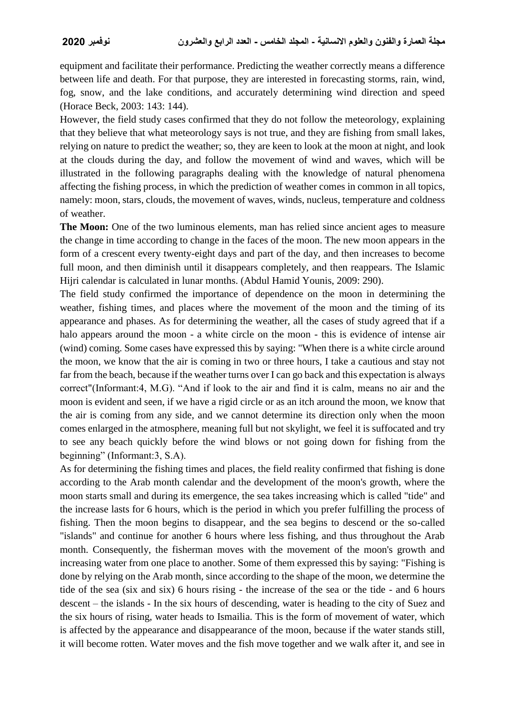equipment and facilitate their performance. Predicting the weather correctly means a difference between life and death. For that purpose, they are interested in forecasting storms, rain, wind, fog, snow, and the lake conditions, and accurately determining wind direction and speed (Horace Beck, 2003: 143: 144).

However, the field study cases confirmed that they do not follow the meteorology, explaining that they believe that what meteorology says is not true, and they are fishing from small lakes, relying on nature to predict the weather; so, they are keen to look at the moon at night, and look at the clouds during the day, and follow the movement of wind and waves, which will be illustrated in the following paragraphs dealing with the knowledge of natural phenomena affecting the fishing process, in which the prediction of weather comes in common in all topics, namely: moon, stars, clouds, the movement of waves, winds, nucleus, temperature and coldness of weather.

**The Moon:** One of the two luminous elements, man has relied since ancient ages to measure the change in time according to change in the faces of the moon. The new moon appears in the form of a crescent every twenty-eight days and part of the day, and then increases to become full moon, and then diminish until it disappears completely, and then reappears. The Islamic Hijri calendar is calculated in lunar months. (Abdul Hamid Younis, 2009: 290).

The field study confirmed the importance of dependence on the moon in determining the weather, fishing times, and places where the movement of the moon and the timing of its appearance and phases. As for determining the weather, all the cases of study agreed that if a halo appears around the moon - a white circle on the moon - this is evidence of intense air (wind) coming. Some cases have expressed this by saying: "When there is a white circle around the moon, we know that the air is coming in two or three hours, I take a cautious and stay not far from the beach, because if the weather turns over I can go back and this expectation is always correct"(Informant:4, M.G). "And if look to the air and find it is calm, means no air and the moon is evident and seen, if we have a rigid circle or as an itch around the moon, we know that the air is coming from any side, and we cannot determine its direction only when the moon comes enlarged in the atmosphere, meaning full but not skylight, we feel it is suffocated and try to see any beach quickly before the wind blows or not going down for fishing from the beginning" (Informant:3, S.A).

As for determining the fishing times and places, the field reality confirmed that fishing is done according to the Arab month calendar and the development of the moon's growth, where the moon starts small and during its emergence, the sea takes increasing which is called "tide" and the increase lasts for 6 hours, which is the period in which you prefer fulfilling the process of fishing. Then the moon begins to disappear, and the sea begins to descend or the so-called "islands" and continue for another 6 hours where less fishing, and thus throughout the Arab month. Consequently, the fisherman moves with the movement of the moon's growth and increasing water from one place to another. Some of them expressed this by saying: "Fishing is done by relying on the Arab month, since according to the shape of the moon, we determine the tide of the sea (six and six) 6 hours rising - the increase of the sea or the tide - and 6 hours descent – the islands - In the six hours of descending, water is heading to the city of Suez and the six hours of rising, water heads to Ismailia. This is the form of movement of water, which is affected by the appearance and disappearance of the moon, because if the water stands still, it will become rotten. Water moves and the fish move together and we walk after it, and see in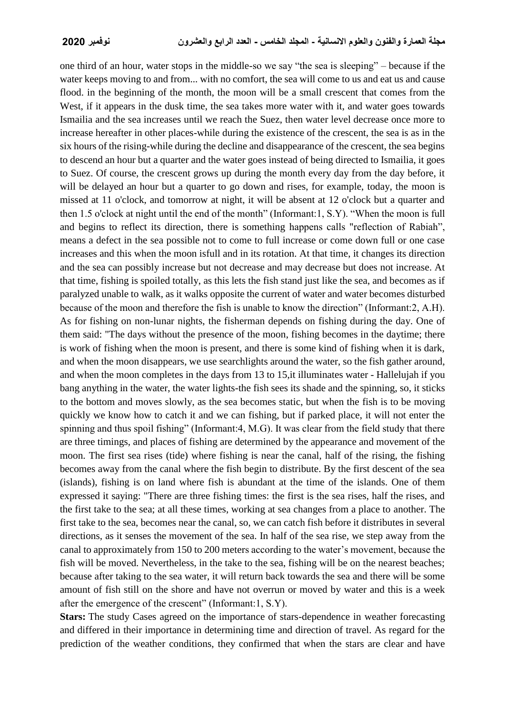one third of an hour, water stops in the middle-so we say "the sea is sleeping" – because if the water keeps moving to and from... with no comfort, the sea will come to us and eat us and cause flood. in the beginning of the month, the moon will be a small crescent that comes from the West, if it appears in the dusk time, the sea takes more water with it, and water goes towards Ismailia and the sea increases until we reach the Suez, then water level decrease once more to increase hereafter in other places-while during the existence of the crescent, the sea is as in the six hours of the rising-while during the decline and disappearance of the crescent, the sea begins to descend an hour but a quarter and the water goes instead of being directed to Ismailia, it goes to Suez. Of course, the crescent grows up during the month every day from the day before, it will be delayed an hour but a quarter to go down and rises, for example, today, the moon is missed at 11 o'clock, and tomorrow at night, it will be absent at 12 o'clock but a quarter and then 1.5 o'clock at night until the end of the month" (Informant:1, S.Y). "When the moon is full and begins to reflect its direction, there is something happens calls "reflection of Rabiah", means a defect in the sea possible not to come to full increase or come down full or one case increases and this when the moon isfull and in its rotation. At that time, it changes its direction and the sea can possibly increase but not decrease and may decrease but does not increase. At that time, fishing is spoiled totally, as this lets the fish stand just like the sea, and becomes as if paralyzed unable to walk, as it walks opposite the current of water and water becomes disturbed because of the moon and therefore the fish is unable to know the direction" (Informant:2, A.H). As for fishing on non-lunar nights, the fisherman depends on fishing during the day. One of them said: "The days without the presence of the moon, fishing becomes in the daytime; there is work of fishing when the moon is present, and there is some kind of fishing when it is dark, and when the moon disappears, we use searchlights around the water, so the fish gather around, and when the moon completes in the days from 13 to 15,it illuminates water - Hallelujah if you bang anything in the water, the water lights-the fish sees its shade and the spinning, so, it sticks to the bottom and moves slowly, as the sea becomes static, but when the fish is to be moving quickly we know how to catch it and we can fishing, but if parked place, it will not enter the spinning and thus spoil fishing" (Informant:4, M.G). It was clear from the field study that there are three timings, and places of fishing are determined by the appearance and movement of the moon. The first sea rises (tide) where fishing is near the canal, half of the rising, the fishing becomes away from the canal where the fish begin to distribute. By the first descent of the sea (islands), fishing is on land where fish is abundant at the time of the islands. One of them expressed it saying: "There are three fishing times: the first is the sea rises, half the rises, and the first take to the sea; at all these times, working at sea changes from a place to another. The first take to the sea, becomes near the canal, so, we can catch fish before it distributes in several directions, as it senses the movement of the sea. In half of the sea rise, we step away from the canal to approximately from 150 to 200 meters according to the water's movement, because the fish will be moved. Nevertheless, in the take to the sea, fishing will be on the nearest beaches; because after taking to the sea water, it will return back towards the sea and there will be some amount of fish still on the shore and have not overrun or moved by water and this is a week after the emergence of the crescent" (Informant:1, S.Y).

**Stars:** The study Cases agreed on the importance of stars-dependence in weather forecasting and differed in their importance in determining time and direction of travel. As regard for the prediction of the weather conditions, they confirmed that when the stars are clear and have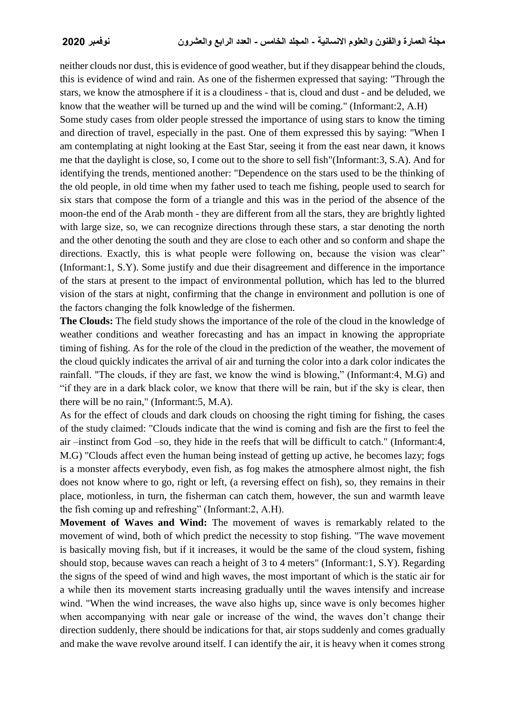neither clouds nor dust, this is evidence of good weather, but if they disappear behind the clouds, this is evidence of wind and rain. As one of the fishermen expressed that saying: "Through the stars, we know the atmosphere if it is a cloudiness - that is, cloud and dust - and be deluded, we know that the weather will be turned up and the wind will be coming." (Informant:2, A.H)

Some study cases from older people stressed the importance of using stars to know the timing and direction of travel, especially in the past. One of them expressed this by saying: "When I am contemplating at night looking at the East Star, seeing it from the east near dawn, it knows me that the daylight is close, so, I come out to the shore to sell fish"(Informant:3, S.A). And for identifying the trends, mentioned another: "Dependence on the stars used to be the thinking of the old people, in old time when my father used to teach me fishing, people used to search for six stars that compose the form of a triangle and this was in the period of the absence of the moon-the end of the Arab month - they are different from all the stars, they are brightly lighted with large size, so, we can recognize directions through these stars, a star denoting the north and the other denoting the south and they are close to each other and so conform and shape the directions. Exactly, this is what people were following on, because the vision was clear" (Informant:1, S.Y). Some justify and due their disagreement and difference in the importance of the stars at present to the impact of environmental pollution, which has led to the blurred vision of the stars at night, confirming that the change in environment and pollution is one of the factors changing the folk knowledge of the fishermen.

**The Clouds:** The field study shows the importance of the role of the cloud in the knowledge of weather conditions and weather forecasting and has an impact in knowing the appropriate timing of fishing. As for the role of the cloud in the prediction of the weather, the movement of the cloud quickly indicates the arrival of air and turning the color into a dark color indicates the rainfall. "The clouds, if they are fast, we know the wind is blowing," (Informant:4, M.G) and "if they are in a dark black color, we know that there will be rain, but if the sky is clear, then there will be no rain," (Informant:5, M.A).

As for the effect of clouds and dark clouds on choosing the right timing for fishing, the cases of the study claimed: "Clouds indicate that the wind is coming and fish are the first to feel the air –instinct from God –so, they hide in the reefs that will be difficult to catch." (Informant:4, M.G) "Clouds affect even the human being instead of getting up active, he becomes lazy; fogs is a monster affects everybody, even fish, as fog makes the atmosphere almost night, the fish does not know where to go, right or left, (a reversing effect on fish), so, they remains in their place, motionless, in turn, the fisherman can catch them, however, the sun and warmth leave the fish coming up and refreshing" (Informant:2, A.H).

**Movement of Waves and Wind:** The movement of waves is remarkably related to the movement of wind, both of which predict the necessity to stop fishing. "The wave movement is basically moving fish, but if it increases, it would be the same of the cloud system, fishing should stop, because waves can reach a height of 3 to 4 meters" (Informant:1, S.Y). Regarding the signs of the speed of wind and high waves, the most important of which is the static air for a while then its movement starts increasing gradually until the waves intensify and increase wind. "When the wind increases, the wave also highs up, since wave is only becomes higher when accompanying with near gale or increase of the wind, the waves don't change their direction suddenly, there should be indications for that, air stops suddenly and comes gradually and make the wave revolve around itself. I can identify the air, it is heavy when it comes strong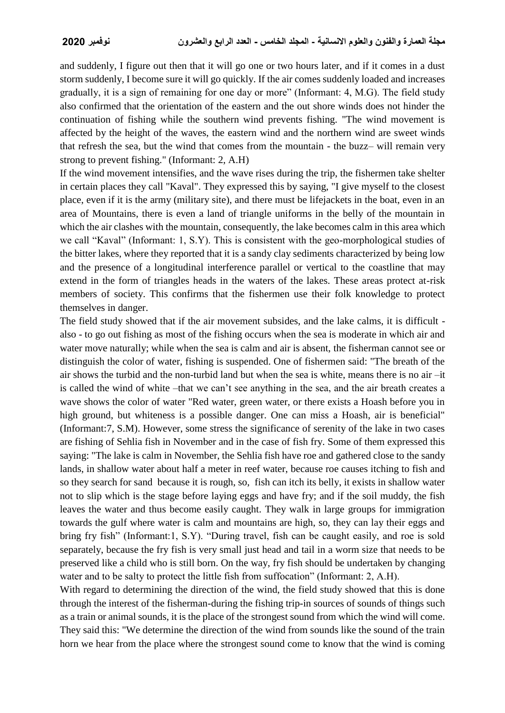and suddenly, I figure out then that it will go one or two hours later, and if it comes in a dust storm suddenly, I become sure it will go quickly. If the air comes suddenly loaded and increases gradually, it is a sign of remaining for one day or more" (Informant: 4, M.G). The field study also confirmed that the orientation of the eastern and the out shore winds does not hinder the continuation of fishing while the southern wind prevents fishing. "The wind movement is affected by the height of the waves, the eastern wind and the northern wind are sweet winds that refresh the sea, but the wind that comes from the mountain - the buzz– will remain very strong to prevent fishing." (Informant: 2, A.H)

If the wind movement intensifies, and the wave rises during the trip, the fishermen take shelter in certain places they call "Kaval". They expressed this by saying, "I give myself to the closest place, even if it is the army (military site), and there must be lifejackets in the boat, even in an area of Mountains, there is even a land of triangle uniforms in the belly of the mountain in which the air clashes with the mountain, consequently, the lake becomes calm in this area which we call "Kaval" (Informant: 1, S.Y). This is consistent with the geo-morphological studies of the bitter lakes, where they reported that it is a sandy clay sediments characterized by being low and the presence of a longitudinal interference parallel or vertical to the coastline that may extend in the form of triangles heads in the waters of the lakes. These areas protect at-risk members of society. This confirms that the fishermen use their folk knowledge to protect themselves in danger.

The field study showed that if the air movement subsides, and the lake calms, it is difficult also - to go out fishing as most of the fishing occurs when the sea is moderate in which air and water move naturally; while when the sea is calm and air is absent, the fisherman cannot see or distinguish the color of water, fishing is suspended. One of fishermen said: "The breath of the air shows the turbid and the non-turbid land but when the sea is white, means there is no air –it is called the wind of white –that we can't see anything in the sea, and the air breath creates a wave shows the color of water "Red water, green water, or there exists a Hoash before you in high ground, but whiteness is a possible danger. One can miss a Hoash, air is beneficial" (Informant:7, S.M). However, some stress the significance of serenity of the lake in two cases are fishing of Sehlia fish in November and in the case of fish fry. Some of them expressed this saying: "The lake is calm in November, the Sehlia fish have roe and gathered close to the sandy lands, in shallow water about half a meter in reef water, because roe causes itching to fish and so they search for sand because it is rough, so, fish can itch its belly, it exists in shallow water not to slip which is the stage before laying eggs and have fry; and if the soil muddy, the fish leaves the water and thus become easily caught. They walk in large groups for immigration towards the gulf where water is calm and mountains are high, so, they can lay their eggs and bring fry fish" (Informant:1, S.Y). "During travel, fish can be caught easily, and roe is sold separately, because the fry fish is very small just head and tail in a worm size that needs to be preserved like a child who is still born. On the way, fry fish should be undertaken by changing water and to be salty to protect the little fish from suffocation" (Informant: 2, A.H).

With regard to determining the direction of the wind, the field study showed that this is done through the interest of the fisherman-during the fishing trip-in sources of sounds of things such as a train or animal sounds, it is the place of the strongest sound from which the wind will come. They said this: "We determine the direction of the wind from sounds like the sound of the train horn we hear from the place where the strongest sound come to know that the wind is coming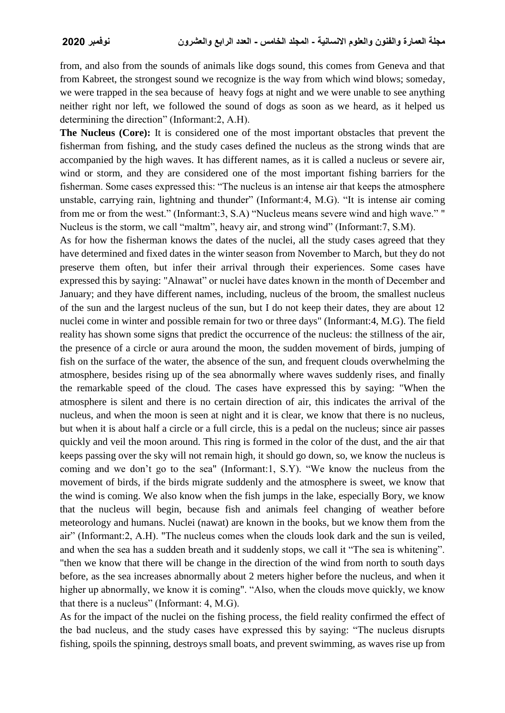from, and also from the sounds of animals like dogs sound, this comes from Geneva and that from Kabreet, the strongest sound we recognize is the way from which wind blows; someday, we were trapped in the sea because of heavy fogs at night and we were unable to see anything neither right nor left, we followed the sound of dogs as soon as we heard, as it helped us determining the direction" (Informant:2, A.H).

**The Nucleus (Core):** It is considered one of the most important obstacles that prevent the fisherman from fishing, and the study cases defined the nucleus as the strong winds that are accompanied by the high waves. It has different names, as it is called a nucleus or severe air, wind or storm, and they are considered one of the most important fishing barriers for the fisherman. Some cases expressed this: "The nucleus is an intense air that keeps the atmosphere unstable, carrying rain, lightning and thunder" (Informant:4, M.G). "It is intense air coming from me or from the west." (Informant:3, S.A) "Nucleus means severe wind and high wave." " Nucleus is the storm, we call "maltm", heavy air, and strong wind" (Informant:7, S.M).

As for how the fisherman knows the dates of the nuclei, all the study cases agreed that they have determined and fixed dates in the winter season from November to March, but they do not preserve them often, but infer their arrival through their experiences. Some cases have expressed this by saying: "Alnawat" or nuclei have dates known in the month of December and January; and they have different names, including, nucleus of the broom, the smallest nucleus of the sun and the largest nucleus of the sun, but I do not keep their dates, they are about 12 nuclei come in winter and possible remain for two or three days" (Informant:4, M.G). The field reality has shown some signs that predict the occurrence of the nucleus: the stillness of the air, the presence of a circle or aura around the moon, the sudden movement of birds, jumping of fish on the surface of the water, the absence of the sun, and frequent clouds overwhelming the atmosphere, besides rising up of the sea abnormally where waves suddenly rises, and finally the remarkable speed of the cloud. The cases have expressed this by saying: "When the atmosphere is silent and there is no certain direction of air, this indicates the arrival of the nucleus, and when the moon is seen at night and it is clear, we know that there is no nucleus, but when it is about half a circle or a full circle, this is a pedal on the nucleus; since air passes quickly and veil the moon around. This ring is formed in the color of the dust, and the air that keeps passing over the sky will not remain high, it should go down, so, we know the nucleus is coming and we don't go to the sea" (Informant:1, S.Y). "We know the nucleus from the movement of birds, if the birds migrate suddenly and the atmosphere is sweet, we know that the wind is coming. We also know when the fish jumps in the lake, especially Bory, we know that the nucleus will begin, because fish and animals feel changing of weather before meteorology and humans. Nuclei (nawat) are known in the books, but we know them from the air" (Informant:2, A.H). "The nucleus comes when the clouds look dark and the sun is veiled, and when the sea has a sudden breath and it suddenly stops, we call it "The sea is whitening". "then we know that there will be change in the direction of the wind from north to south days before, as the sea increases abnormally about 2 meters higher before the nucleus, and when it higher up abnormally, we know it is coming". "Also, when the clouds move quickly, we know that there is a nucleus" (Informant: 4, M.G).

As for the impact of the nuclei on the fishing process, the field reality confirmed the effect of the bad nucleus, and the study cases have expressed this by saying: "The nucleus disrupts fishing, spoils the spinning, destroys small boats, and prevent swimming, as waves rise up from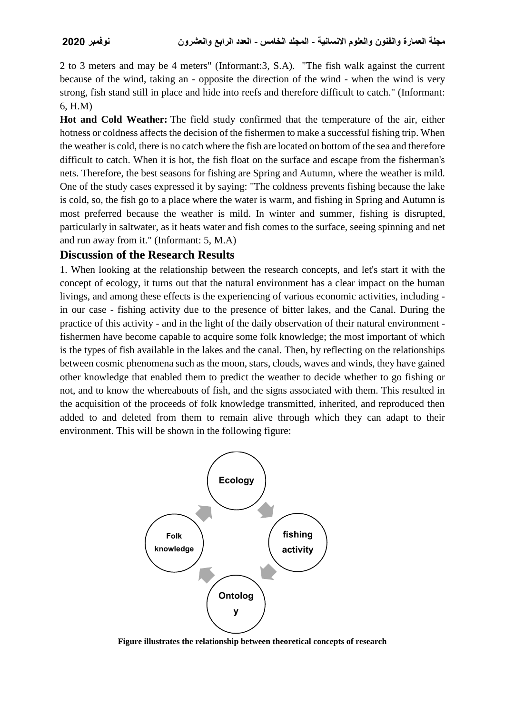2 to 3 meters and may be 4 meters" (Informant:3, S.A). "The fish walk against the current because of the wind, taking an - opposite the direction of the wind - when the wind is very strong, fish stand still in place and hide into reefs and therefore difficult to catch." (Informant: 6, H.M)

**Hot and Cold Weather:** The field study confirmed that the temperature of the air, either hotness or coldness affects the decision of the fishermen to make a successful fishing trip. When the weather is cold, there is no catch where the fish are located on bottom of the sea and therefore difficult to catch. When it is hot, the fish float on the surface and escape from the fisherman's nets. Therefore, the best seasons for fishing are Spring and Autumn, where the weather is mild. One of the study cases expressed it by saying: "The coldness prevents fishing because the lake is cold, so, the fish go to a place where the water is warm, and fishing in Spring and Autumn is most preferred because the weather is mild. In winter and summer, fishing is disrupted, particularly in saltwater, as it heats water and fish comes to the surface, seeing spinning and net and run away from it." (Informant: 5, M.A)

### **Discussion of the Research Results**

1. When looking at the relationship between the research concepts, and let's start it with the concept of ecology, it turns out that the natural environment has a clear impact on the human livings, and among these effects is the experiencing of various economic activities, including in our case - fishing activity due to the presence of bitter lakes, and the Canal. During the practice of this activity - and in the light of the daily observation of their natural environment fishermen have become capable to acquire some folk knowledge; the most important of which is the types of fish available in the lakes and the canal. Then, by reflecting on the relationships between cosmic phenomena such as the moon, stars, clouds, waves and winds, they have gained other knowledge that enabled them to predict the weather to decide whether to go fishing or not, and to know the whereabouts of fish, and the signs associated with them. This resulted in the acquisition of the proceeds of folk knowledge transmitted, inherited, and reproduced then added to and deleted from them to remain alive through which they can adapt to their environment. This will be shown in the following figure:



**Figure illustrates the relationship between theoretical concepts of research**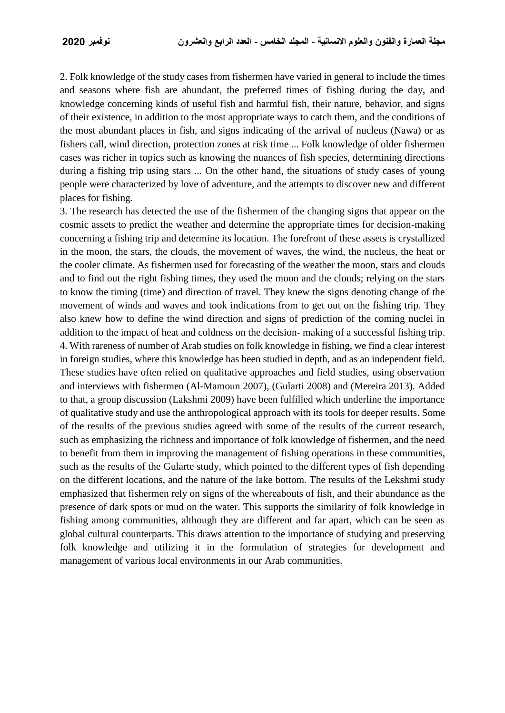2. Folk knowledge of the study cases from fishermen have varied in general to include the times and seasons where fish are abundant, the preferred times of fishing during the day, and knowledge concerning kinds of useful fish and harmful fish, their nature, behavior, and signs of their existence, in addition to the most appropriate ways to catch them, and the conditions of the most abundant places in fish, and signs indicating of the arrival of nucleus (Nawa) or as fishers call, wind direction, protection zones at risk time ... Folk knowledge of older fishermen cases was richer in topics such as knowing the nuances of fish species, determining directions during a fishing trip using stars ... On the other hand, the situations of study cases of young people were characterized by love of adventure, and the attempts to discover new and different places for fishing.

3. The research has detected the use of the fishermen of the changing signs that appear on the cosmic assets to predict the weather and determine the appropriate times for decision-making concerning a fishing trip and determine its location. The forefront of these assets is crystallized in the moon, the stars, the clouds, the movement of waves, the wind, the nucleus, the heat or the cooler climate. As fishermen used for forecasting of the weather the moon, stars and clouds and to find out the right fishing times, they used the moon and the clouds; relying on the stars to know the timing (time) and direction of travel. They knew the signs denoting change of the movement of winds and waves and took indications from to get out on the fishing trip. They also knew how to define the wind direction and signs of prediction of the coming nuclei in addition to the impact of heat and coldness on the decision- making of a successful fishing trip. 4. With rareness of number of Arab studies on folk knowledge in fishing, we find a clear interest in foreign studies, where this knowledge has been studied in depth, and as an independent field. These studies have often relied on qualitative approaches and field studies, using observation and interviews with fishermen (Al-Mamoun 2007), (Gularti 2008) and (Mereira 2013). Added to that, a group discussion (Lakshmi 2009) have been fulfilled which underline the importance of qualitative study and use the anthropological approach with its tools for deeper results. Some of the results of the previous studies agreed with some of the results of the current research, such as emphasizing the richness and importance of folk knowledge of fishermen, and the need to benefit from them in improving the management of fishing operations in these communities, such as the results of the Gularte study, which pointed to the different types of fish depending on the different locations, and the nature of the lake bottom. The results of the Lekshmi study emphasized that fishermen rely on signs of the whereabouts of fish, and their abundance as the presence of dark spots or mud on the water. This supports the similarity of folk knowledge in fishing among communities, although they are different and far apart, which can be seen as global cultural counterparts. This draws attention to the importance of studying and preserving folk knowledge and utilizing it in the formulation of strategies for development and management of various local environments in our Arab communities.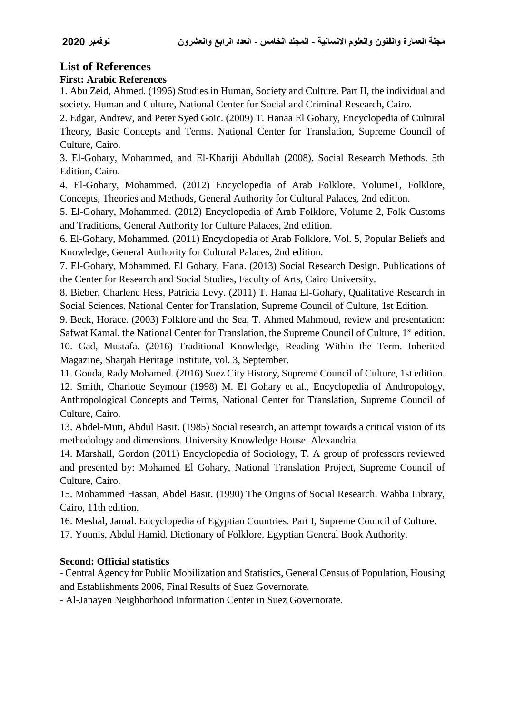## **List of References**

### **First: Arabic References**

1. Abu Zeid, Ahmed. (1996) Studies in Human, Society and Culture. Part II, the individual and society. Human and Culture, National Center for Social and Criminal Research, Cairo.

2. Edgar, Andrew, and Peter Syed Goic. (2009) T. Hanaa El Gohary, Encyclopedia of Cultural Theory, Basic Concepts and Terms. National Center for Translation, Supreme Council of Culture, Cairo.

3. El-Gohary, Mohammed, and El-Khariji Abdullah (2008). Social Research Methods. 5th Edition, Cairo.

4. El-Gohary, Mohammed. (2012) Encyclopedia of Arab Folklore. Volume1, Folklore, Concepts, Theories and Methods, General Authority for Cultural Palaces, 2nd edition.

5. El-Gohary, Mohammed. (2012) Encyclopedia of Arab Folklore, Volume 2, Folk Customs and Traditions, General Authority for Culture Palaces, 2nd edition.

6. El-Gohary, Mohammed. (2011) Encyclopedia of Arab Folklore, Vol. 5, Popular Beliefs and Knowledge, General Authority for Cultural Palaces, 2nd edition.

7. El-Gohary, Mohammed. El Gohary, Hana. (2013) Social Research Design. Publications of the Center for Research and Social Studies, Faculty of Arts, Cairo University.

8. Bieber, Charlene Hess, Patricia Levy. (2011) T. Hanaa El-Gohary, Qualitative Research in Social Sciences. National Center for Translation, Supreme Council of Culture, 1st Edition.

9. Beck, Horace. (2003) Folklore and the Sea, T. Ahmed Mahmoud, review and presentation: Safwat Kamal, the National Center for Translation, the Supreme Council of Culture, 1<sup>st</sup> edition. 10. Gad, Mustafa. (2016) Traditional Knowledge, Reading Within the Term. Inherited Magazine, Sharjah Heritage Institute, vol. 3, September.

11. Gouda, Rady Mohamed. (2016) Suez City History, Supreme Council of Culture, 1st edition. 12. Smith, Charlotte Seymour (1998) M. El Gohary et al., Encyclopedia of Anthropology, Anthropological Concepts and Terms, National Center for Translation, Supreme Council of Culture, Cairo.

13. Abdel-Muti, Abdul Basit. (1985) Social research, an attempt towards a critical vision of its methodology and dimensions. University Knowledge House. Alexandria.

14. Marshall, Gordon (2011) Encyclopedia of Sociology, T. A group of professors reviewed and presented by: Mohamed El Gohary, National Translation Project, Supreme Council of Culture, Cairo.

15. Mohammed Hassan, Abdel Basit. (1990) The Origins of Social Research. Wahba Library, Cairo, 11th edition.

16. Meshal, Jamal. Encyclopedia of Egyptian Countries. Part I, Supreme Council of Culture.

17. Younis, Abdul Hamid. Dictionary of Folklore. Egyptian General Book Authority.

## **Second: Official statistics**

- Central Agency for Public Mobilization and Statistics, General Census of Population, Housing and Establishments 2006, Final Results of Suez Governorate.

- Al-Janayen Neighborhood Information Center in Suez Governorate.